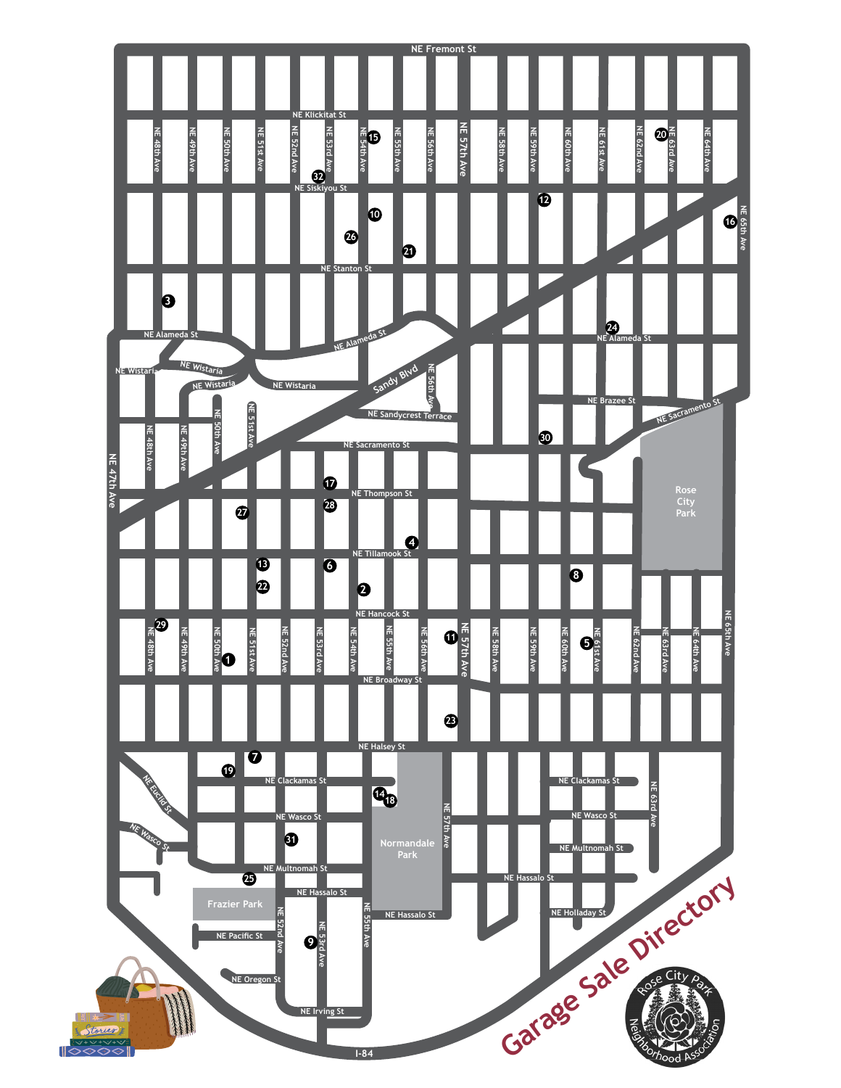